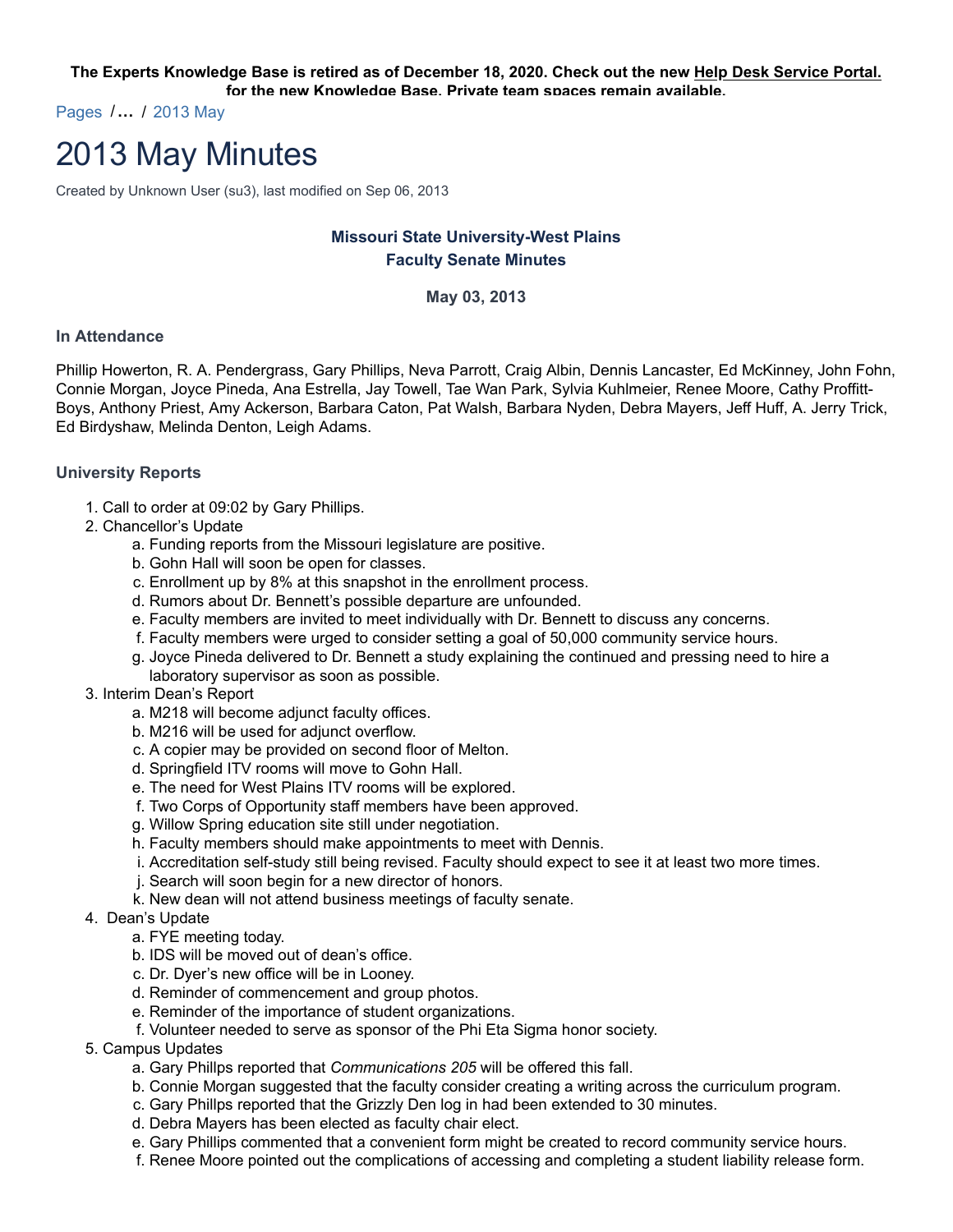**The Experts Knowledge Base is retired as of December 18, 2020. Check out the new Help Desk Service Portal. for the new Knowledge Base. Private team spaces remain available.**

Pages /**…** / 2013 May

# 2013 May Minutes

Created by Unknown User (su3), last modified on Sep 06, 2013

# **Missouri State University-West Plains Faculty Senate Minutes**

#### **May 03, 2013**

#### **In Attendance**

Phillip Howerton, R. A. Pendergrass, Gary Phillips, Neva Parrott, Craig Albin, Dennis Lancaster, Ed McKinney, John Fohn, Connie Morgan, Joyce Pineda, Ana Estrella, Jay Towell, Tae Wan Park, Sylvia Kuhlmeier, Renee Moore, Cathy Proffitt-Boys, Anthony Priest, Amy Ackerson, Barbara Caton, Pat Walsh, Barbara Nyden, Debra Mayers, Jeff Huff, A. Jerry Trick, Ed Birdyshaw, Melinda Denton, Leigh Adams.

#### **University Reports**

- 1. Call to order at 09:02 by Gary Phillips.
- 2. Chancellor's Update
	- a. Funding reports from the Missouri legislature are positive.
	- b. Gohn Hall will soon be open for classes.
	- c. Enrollment up by 8% at this snapshot in the enrollment process.
	- d. Rumors about Dr. Bennett's possible departure are unfounded.
	- e. Faculty members are invited to meet individually with Dr. Bennett to discuss any concerns.
	- f. Faculty members were urged to consider setting a goal of 50,000 community service hours.
	- g. Joyce Pineda delivered to Dr. Bennett a study explaining the continued and pressing need to hire a laboratory supervisor as soon as possible.
- 3. Interim Dean's Report
	- a. M218 will become adjunct faculty offices.
	- b. M216 will be used for adjunct overflow.
	- c. A copier may be provided on second floor of Melton.
	- d. Springfield ITV rooms will move to Gohn Hall.
	- e. The need for West Plains ITV rooms will be explored.
	- f. Two Corps of Opportunity staff members have been approved.
	- g. Willow Spring education site still under negotiation.
	- h. Faculty members should make appointments to meet with Dennis.
	- i. Accreditation self-study still being revised. Faculty should expect to see it at least two more times.
	- j. Search will soon begin for a new director of honors.
	- k. New dean will not attend business meetings of faculty senate.
- 4. Dean's Update
	- a. FYE meeting today.
	- b. IDS will be moved out of dean's office.
	- c. Dr. Dyer's new office will be in Looney.
	- d. Reminder of commencement and group photos.
	- e. Reminder of the importance of student organizations.
	- f. Volunteer needed to serve as sponsor of the Phi Eta Sigma honor society.
- 5. Campus Updates
	- a. Gary Phillps reported that *Communications 205* will be offered this fall.
	- b. Connie Morgan suggested that the faculty consider creating a writing across the curriculum program.
	- c. Gary Phillps reported that the Grizzly Den log in had been extended to 30 minutes.
	- d. Debra Mayers has been elected as faculty chair elect.
	- e. Gary Phillips commented that a convenient form might be created to record community service hours.
	- f. Renee Moore pointed out the complications of accessing and completing a student liability release form.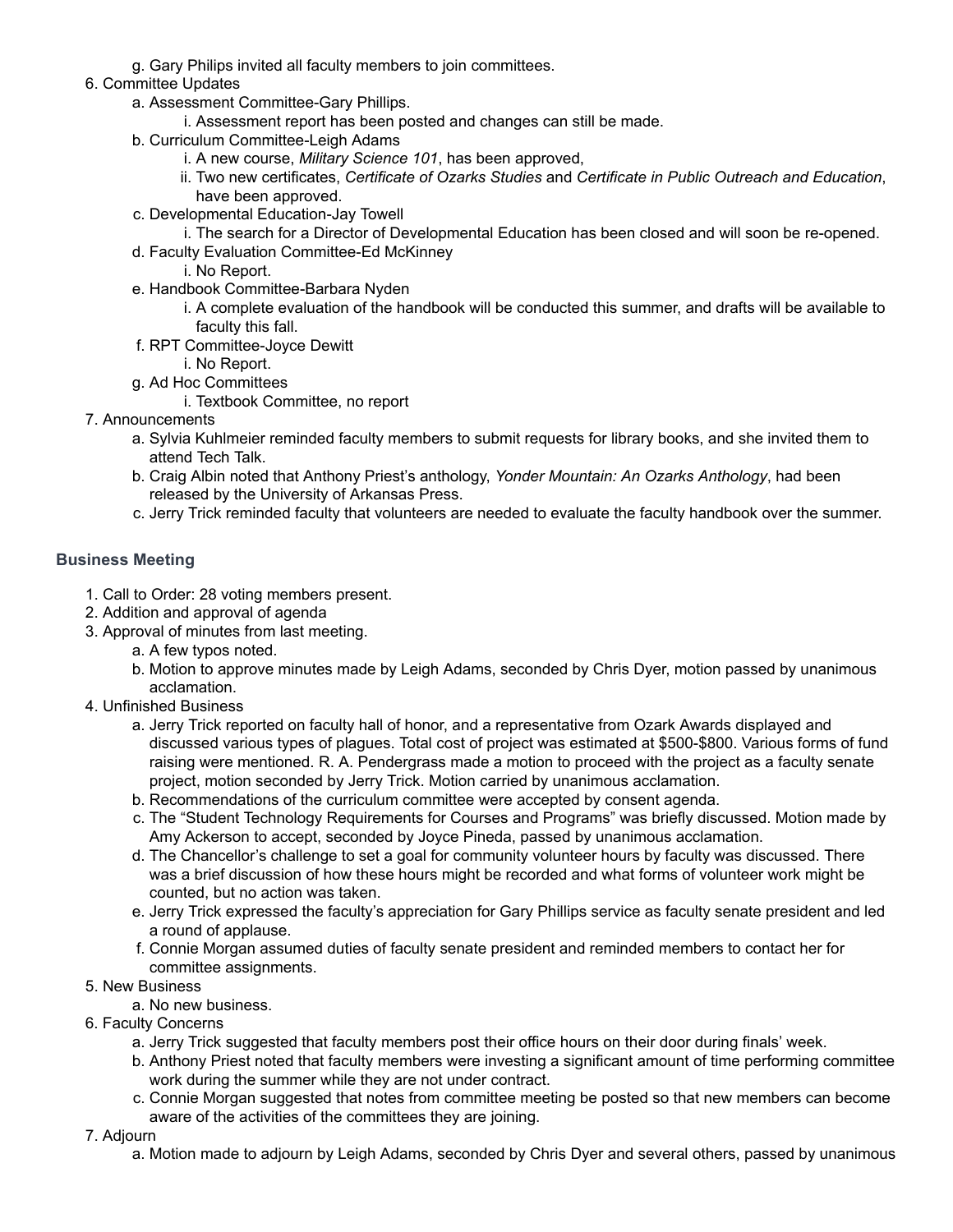g. Gary Philips invited all faculty members to join committees.

### 6. Committee Updates

- a. Assessment Committee-Gary Phillips.
	- i. Assessment report has been posted and changes can still be made.
- b. Curriculum Committee-Leigh Adams
	- i. A new course, *Military Science 101*, has been approved,
	- ii. Two new certificates, *Certificate of Ozarks Studies* and *Certificate in Public Outreach and Education*, have been approved.
- c. Developmental Education-Jay Towell
	- i. The search for a Director of Developmental Education has been closed and will soon be re-opened.
- d. Faculty Evaluation Committee-Ed McKinney
	- i. No Report.
- e. Handbook Committee-Barbara Nyden
	- i. A complete evaluation of the handbook will be conducted this summer, and drafts will be available to faculty this fall.
- f. RPT Committee-Joyce Dewitt
	- i. No Report.
- g. Ad Hoc Committees
	- i. Textbook Committee, no report
- 7. Announcements
	- a. Sylvia Kuhlmeier reminded faculty members to submit requests for library books, and she invited them to attend Tech Talk.
	- b. Craig Albin noted that Anthony Priest's anthology, *Yonder Mountain: An Ozarks Anthology*, had been released by the University of Arkansas Press.
	- c. Jerry Trick reminded faculty that volunteers are needed to evaluate the faculty handbook over the summer.

## **Business Meeting**

- 1. Call to Order: 28 voting members present.
- 2. Addition and approval of agenda
- 3. Approval of minutes from last meeting.
	- a. A few typos noted.
	- b. Motion to approve minutes made by Leigh Adams, seconded by Chris Dyer, motion passed by unanimous acclamation.
- 4. Unfinished Business
	- a. Jerry Trick reported on faculty hall of honor, and a representative from Ozark Awards displayed and discussed various types of plagues. Total cost of project was estimated at \$500-\$800. Various forms of fund raising were mentioned. R. A. Pendergrass made a motion to proceed with the project as a faculty senate project, motion seconded by Jerry Trick. Motion carried by unanimous acclamation.
	- b. Recommendations of the curriculum committee were accepted by consent agenda.
	- c. The "Student Technology Requirements for Courses and Programs" was briefly discussed. Motion made by Amy Ackerson to accept, seconded by Joyce Pineda, passed by unanimous acclamation.
	- d. The Chancellor's challenge to set a goal for community volunteer hours by faculty was discussed. There was a brief discussion of how these hours might be recorded and what forms of volunteer work might be counted, but no action was taken.
	- e. Jerry Trick expressed the faculty's appreciation for Gary Phillips service as faculty senate president and led a round of applause.
	- f. Connie Morgan assumed duties of faculty senate president and reminded members to contact her for committee assignments.
- 5. New Business
	- a. No new business.
- 6. Faculty Concerns
	- a. Jerry Trick suggested that faculty members post their office hours on their door during finals' week.
	- b. Anthony Priest noted that faculty members were investing a significant amount of time performing committee work during the summer while they are not under contract.
	- c. Connie Morgan suggested that notes from committee meeting be posted so that new members can become aware of the activities of the committees they are joining.
- 7. Adjourn
	- a. Motion made to adjourn by Leigh Adams, seconded by Chris Dyer and several others, passed by unanimous